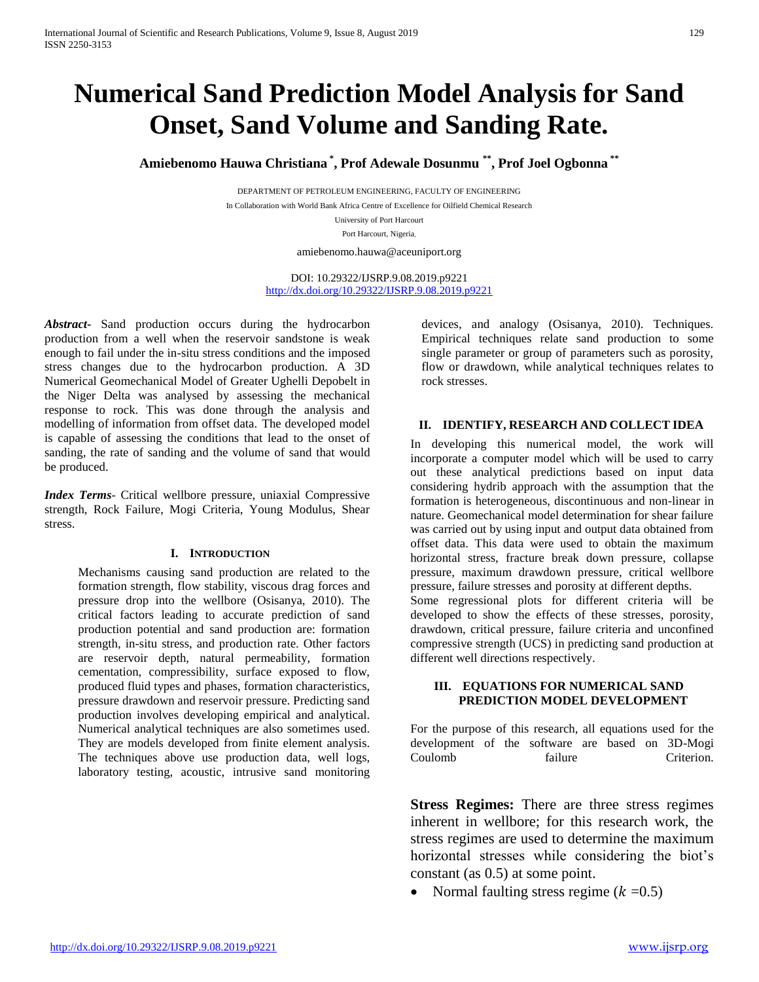# **Numerical Sand Prediction Model Analysis for Sand Onset, Sand Volume and Sanding Rate.**

**Amiebenomo Hauwa Christiana \* , Prof Adewale Dosunmu \*\* , Prof Joel Ogbonna \*\***

DEPARTMENT OF PETROLEUM ENGINEERING, FACULTY OF ENGINEERING In Collaboration with World Bank Africa Centre of Excellence for Oilfield Chemical Research University of Port Harcourt Port Harcourt, Nigeria*.*

amiebenomo.hauwa@aceuniport.org

DOI: 10.29322/IJSRP.9.08.2019.p9221 <http://dx.doi.org/10.29322/IJSRP.9.08.2019.p9221>

*Abstract***-** Sand production occurs during the hydrocarbon production from a well when the reservoir sandstone is weak enough to fail under the in-situ stress conditions and the imposed stress changes due to the hydrocarbon production. A 3D Numerical Geomechanical Model of Greater Ughelli Depobelt in the Niger Delta was analysed by assessing the mechanical response to rock. This was done through the analysis and modelling of information from offset data. The developed model is capable of assessing the conditions that lead to the onset of sanding, the rate of sanding and the volume of sand that would be produced.

*Index Terms*- Critical wellbore pressure, uniaxial Compressive strength, Rock Failure, Mogi Criteria, Young Modulus, Shear stress.

# **I. INTRODUCTION**

Mechanisms causing sand production are related to the formation strength, flow stability, viscous drag forces and pressure drop into the wellbore (Osisanya, 2010). The critical factors leading to accurate prediction of sand production potential and sand production are: formation strength, in-situ stress, and production rate. Other factors are reservoir depth, natural permeability, formation cementation, compressibility, surface exposed to flow, produced fluid types and phases, formation characteristics, pressure drawdown and reservoir pressure. Predicting sand production involves developing empirical and analytical. Numerical analytical techniques are also sometimes used. They are models developed from finite element analysis. The techniques above use production data, well logs, laboratory testing, acoustic, intrusive sand monitoring devices, and analogy (Osisanya, 2010). Techniques. Empirical techniques relate sand production to some single parameter or group of parameters such as porosity, flow or drawdown, while analytical techniques relates to rock stresses.

# **II. IDENTIFY, RESEARCH AND COLLECT IDEA**

In developing this numerical model, the work will incorporate a computer model which will be used to carry out these analytical predictions based on input data considering hydrib approach with the assumption that the formation is heterogeneous, discontinuous and non-linear in nature. Geomechanical model determination for shear failure was carried out by using input and output data obtained from offset data. This data were used to obtain the maximum horizontal stress, fracture break down pressure, collapse pressure, maximum drawdown pressure, critical wellbore pressure, failure stresses and porosity at different depths. Some regressional plots for different criteria will be developed to show the effects of these stresses, porosity, drawdown, critical pressure, failure criteria and unconfined compressive strength (UCS) in predicting sand production at different well directions respectively.

#### **III. EQUATIONS FOR NUMERICAL SAND PREDICTION MODEL DEVELOPMENT**

For the purpose of this research, all equations used for the development of the software are based on 3D-Mogi Coulomb failure Criterion.

**Stress Regimes:** There are three stress regimes inherent in wellbore; for this research work, the stress regimes are used to determine the maximum horizontal stresses while considering the biot's constant (as 0.5) at some point.

Normal faulting stress regime  $(k = 0.5)$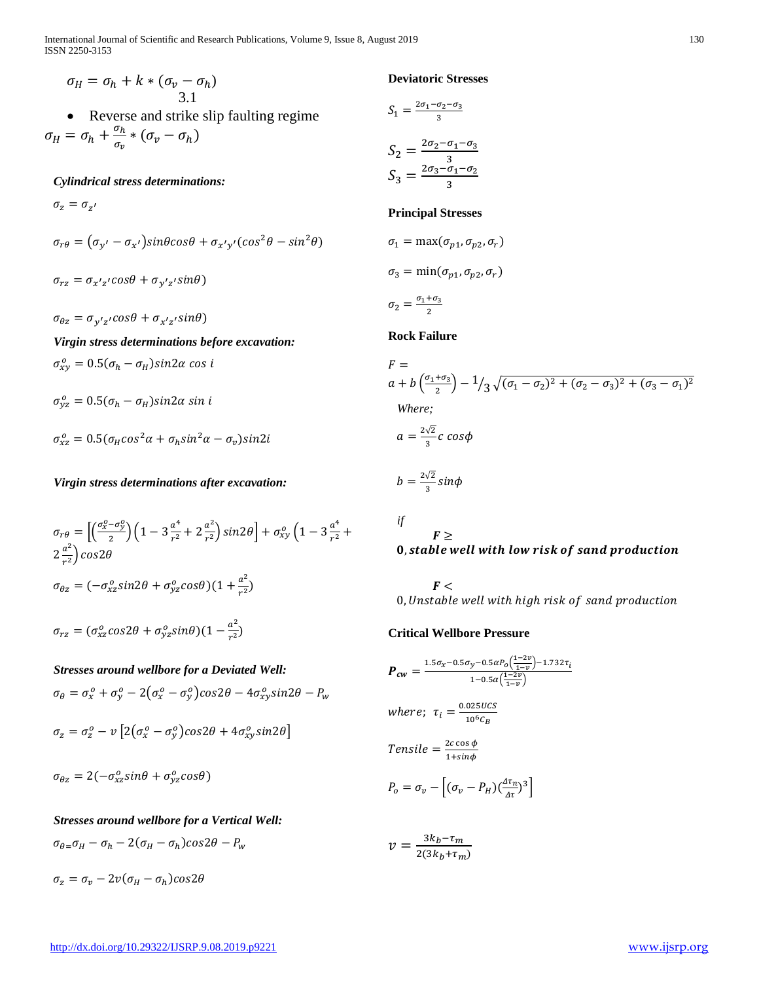$$
\sigma_H = \sigma_h + k * (\sigma_v - \sigma_h)
$$
  
3.1

 Reverse and strike slip faulting regime  $\sigma_H = \sigma_h + \frac{\sigma_h}{\sigma_h}$  $\frac{\sigma_h}{\sigma_v} * (\sigma_v - \sigma_h)$ 

*Cylindrical stress determinations:*

 $\sigma_{z} = \sigma_{z'}$ 

$$
\sigma_{r\theta} = (\sigma_{y'} - \sigma_{x'}) sin\theta cos\theta + \sigma_{x'y'} (cos^2\theta - sin^2\theta)
$$

$$
\sigma_{rz} = \sigma_{x'z'}cos\theta + \sigma_{y'z'}sin\theta)
$$

 $\sigma_{\theta z} = \sigma_{y'z'}cos\theta + \sigma_{x'z'}sin\theta$ 

*Virgin stress determinations before excavation:*  $\sigma_{xy}^o = 0.5(\sigma_h - \sigma_H)sin 2\alpha cos i$ 

 $\sigma_{yz}^o = 0.5(\sigma_h - \sigma_H)sin2\alpha \sin i$ 

$$
\sigma_{xz}^o = 0.5(\sigma_H cos^2 \alpha + \sigma_h sin^2 \alpha - \sigma_v)sin2i
$$

*Virgin stress determinations after excavation:*

$$
\sigma_{r\theta} = \left[ \left( \frac{\sigma_x^0 - \sigma_y^0}{2} \right) \left( 1 - 3 \frac{a^4}{r^2} + 2 \frac{a^2}{r^2} \right) \sin 2\theta \right] + \sigma_{xy}^0 \left( 1 - 3 \frac{a^4}{r^2} + 2 \frac{a^2}{r^2} \right) \cos 2\theta
$$
  

$$
\sigma_{\theta z} = (-\sigma_{xz}^0 \sin 2\theta + \sigma_{yz}^0 \cos \theta) (1 + \frac{a^2}{r^2})
$$
  

$$
\sigma_{rz} = (\sigma_{xz}^0 \cos 2\theta + \sigma_{yz}^0 \sin \theta) (1 - \frac{a^2}{r^2})
$$

*Stresses around wellbore for a Deviated Well:*  $\sigma_{\theta} = \sigma_x^o + \sigma_y^o - 2(\sigma_x^o - \sigma_y^o)cos2\theta - 4\sigma_{xy}^o sin2\theta - P_w$  $\sigma_z = \sigma_z^o - \nu \left[ 2 \big(\sigma_x^o - \sigma_y^o \big) cos2\theta + 4 \sigma_{xy}^o sin2\theta \right]$ 

 $\sigma_{\theta z} = 2(-\sigma_{xz}^o sin\theta + \sigma_{yz}^o cos\theta)$ 

 $\sigma_z = \sigma_v - 2v(\sigma_H - \sigma_h)cos2\theta$ 

# *Stresses around wellbore for a Vertical Well:*

 $\sigma_{\theta} = \sigma_H - \sigma_h - 2(\sigma_H - \sigma_h)cos2\theta - P_w$ 

**Deviatoric Stresses**

$$
S_1 = \frac{2\sigma_1 - \sigma_2 - \sigma_3}{3}
$$

$$
S_2 = \frac{2\sigma_2 - \sigma_1 - \sigma_3}{3}
$$

$$
S_3 = \frac{2\sigma_3 - \sigma_1 - \sigma_2}{3}
$$

# **Principal Stresses**

$$
\sigma_1 = \max(\sigma_{p1}, \sigma_{p2}, \sigma_r)
$$

$$
\sigma_3 = \min(\sigma_{p1}, \sigma_{p2}, \sigma_r)
$$

$$
\sigma_2 = \frac{\sigma_1 + \sigma_3}{2}
$$

# **Rock Failure**

$$
F =
$$
\n
$$
a + b \left(\frac{\sigma_1 + \sigma_3}{2}\right) - 1/3 \sqrt{(\sigma_1 - \sigma_2)^2 + (\sigma_2 - \sigma_3)^2 + (\sigma_3 - \sigma_1)^2}
$$
\nWhere;

\n
$$
a = \frac{2\sqrt{2}}{3}c \cos\phi
$$
\n
$$
b = \frac{2\sqrt{2}}{3} \sin\phi
$$
\nif

$$
F \geq 0, stable
$$
 *well with low risk of sand production*

 $F<$ 0, Unstable well with high risk of sand production

# **Critical Wellbore Pressure**

$$
P_{cw} = \frac{1.5\sigma_x - 0.5\sigma_y - 0.5aP_0\left(\frac{1-2v}{1-v}\right) - 1.732\tau_i}{1 - 0.5a\left(\frac{1-2v}{1-v}\right)}
$$
  
where;  $\tau_i = \frac{0.025UCS}{10^6C_B}$   
Tensile =  $\frac{2c\cos\phi}{1+\sin\phi}$   
 $P_o = \sigma_v - \left[ (\sigma_v - P_H)(\frac{4\tau_n}{4\tau})^3 \right]$ 

 $v = \frac{3k_b - \tau_m}{2(2k_b + \tau_m)}$  $2(3k_b+\tau_m)$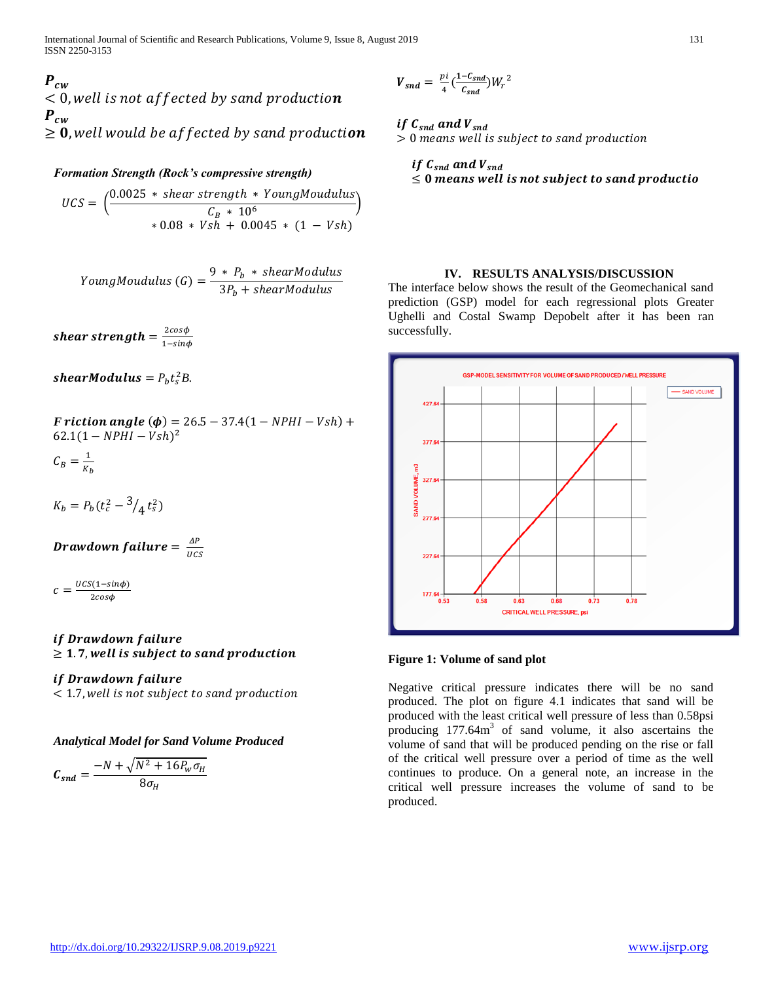$P_{cw}$  $\leq$  0, well is not affected by sand production  $P_{cw}$  $\geq 0$ , well would be affected by sand production

### *Formation Strength (Rock's compressive strength)*

 $\mathit{UCS} = \left(\frac{0.0025 * shear\ strength * YoungMoudulus}{0.0025 * 106}\right)$  $\frac{C_B * 10^6}{(600-10^{-6})}$  $* 0.08 * Vsh + 0.0045 * (1 - Vsh)$ 

YoungMoudulus  $(G) = \frac{9 * P_b * shearModulus}{2D + 1}$  $3P_b + shearModulus$ 

shear strength =  $\frac{2cos\phi}{1-cos\phi}$ 1−sinφ

shearModulus =  $P_b t_s^2 B$ .

 $F$  riction angle ( $\phi$ ) = 26.5 – 37.4(1 – NPHI – Vsh) +  $62.1(1 - NPHI - Vsh)^2$ 

$$
C_B = \frac{1}{K_b}
$$

 $K_b = P_b(t_c^2 - 3/4 t_s^2)$ 

Drawdown failure =  $\frac{\Delta P}{\Delta G}$ UCS

 $c = \frac{UCS(1-sin\phi)}{2\cos\phi}$ 2cos $\phi$ 

# if Drawdown failure  $\geq 1.7$ , well is subject to sand production

# *if Drawdown failure*

< 1.7,

*Analytical Model for Sand Volume Produced* 

$$
C_{snd} = \frac{-N + \sqrt{N^2 + 16P_w \sigma_H}}{8\sigma_H}
$$

$$
V_{snd} = \frac{pi}{4} \left( \frac{1 - C_{snd}}{C_{snd}} \right) W_r^2
$$

# if  $C_{snd}$  and  $V_{snd}$

 $> 0$  means well is subject to sand production

#### if  $C_{snd}$  and  $V_{snd}$  $\leq 0$  means well is not subject to sand productio

#### **IV. RESULTS ANALYSIS/DISCUSSION**

The interface below shows the result of the Geomechanical sand prediction (GSP) model for each regressional plots Greater Ughelli and Costal Swamp Depobelt after it has been ran successfully.



#### **Figure 1: Volume of sand plot**

Negative critical pressure indicates there will be no sand produced. The plot on figure 4.1 indicates that sand will be produced with the least critical well pressure of less than 0.58psi producing  $177.64m<sup>3</sup>$  of sand volume, it also ascertains the volume of sand that will be produced pending on the rise or fall of the critical well pressure over a period of time as the well continues to produce. On a general note, an increase in the critical well pressure increases the volume of sand to be produced.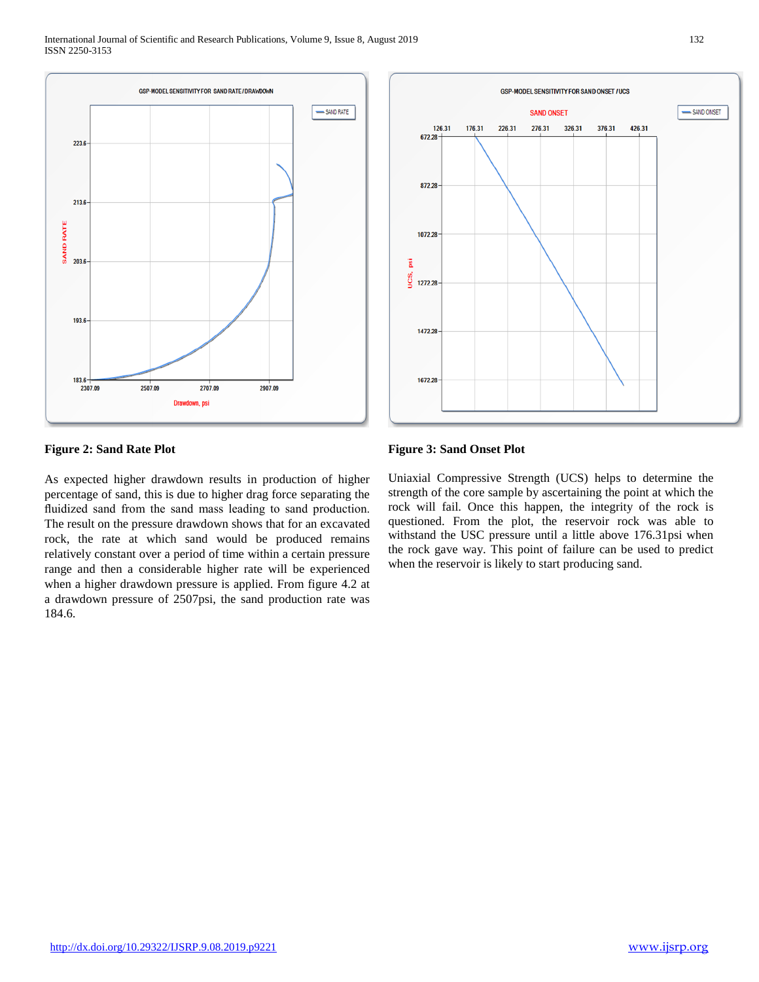

# **GSP-MODEL SENSITIVITY FOR SAND ONSET / UCS** SAND ONSET **SAND ONSET** 126.31 176.31 226.31 276.31 326.31 376.31 426.31 672.28 872.28 1072.28 Ä ιs. 1272.28 1472.28 1672.28

# **Figure 2: Sand Rate Plot**

As expected higher drawdown results in production of higher percentage of sand, this is due to higher drag force separating the fluidized sand from the sand mass leading to sand production. The result on the pressure drawdown shows that for an excavated rock, the rate at which sand would be produced remains relatively constant over a period of time within a certain pressure range and then a considerable higher rate will be experienced when a higher drawdown pressure is applied. From figure 4.2 at a drawdown pressure of 2507psi, the sand production rate was 184.6.

#### **Figure 3: Sand Onset Plot**

Uniaxial Compressive Strength (UCS) helps to determine the strength of the core sample by ascertaining the point at which the rock will fail. Once this happen, the integrity of the rock is questioned. From the plot, the reservoir rock was able to withstand the USC pressure until a little above 176.31psi when the rock gave way. This point of failure can be used to predict when the reservoir is likely to start producing sand.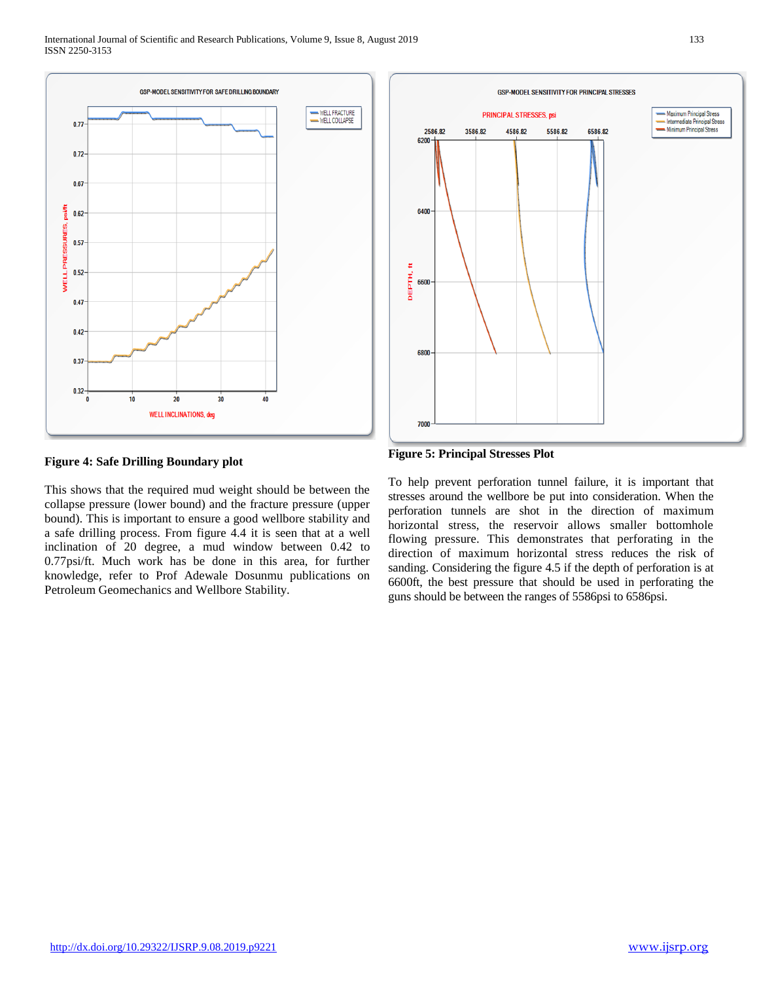

#### **Figure 4: Safe Drilling Boundary plot**

This shows that the required mud weight should be between the collapse pressure (lower bound) and the fracture pressure (upper bound). This is important to ensure a good wellbore stability and a safe drilling process. From figure 4.4 it is seen that at a well inclination of 20 degree, a mud window between 0.42 to 0.77psi/ft. Much work has be done in this area, for further knowledge, refer to Prof Adewale Dosunmu publications on Petroleum Geomechanics and Wellbore Stability.



**Figure 5: Principal Stresses Plot** 

To help prevent perforation tunnel failure, it is important that stresses around the wellbore be put into consideration. When the perforation tunnels are shot in the direction of maximum horizontal stress, the reservoir allows smaller bottomhole flowing pressure. This demonstrates that perforating in the direction of maximum horizontal stress reduces the risk of sanding. Considering the figure 4.5 if the depth of perforation is at 6600ft, the best pressure that should be used in perforating the guns should be between the ranges of 5586psi to 6586psi.